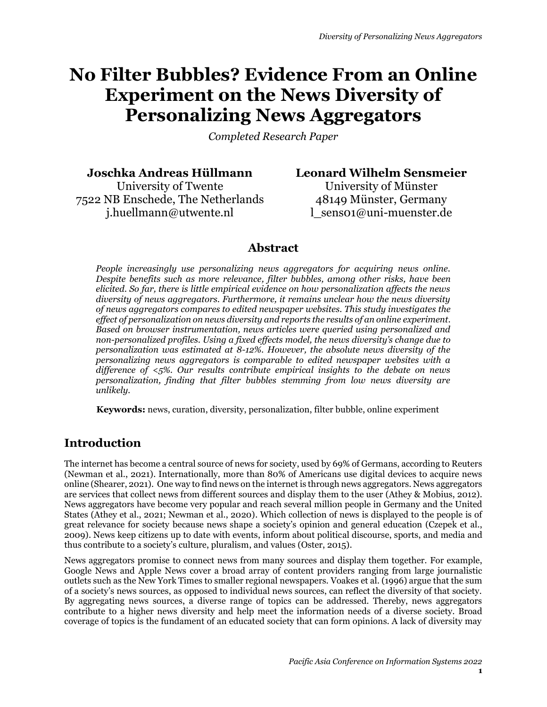# **No Filter Bubbles? Evidence From an Online Experiment on the News Diversity of Personalizing News Aggregators**

*Completed Research Paper*

**Joschka Andreas Hüllmann**

University of Twente 7522 NB Enschede, The Netherlands j.huellmann@utwente.nl

**Leonard Wilhelm Sensmeier**

University of Münster 48149 Münster, Germany l\_sens01@uni-muenster.de

# **Abstract**

*People increasingly use personalizing news aggregators for acquiring news online. Despite benefits such as more relevance, filter bubbles, among other risks, have been elicited. So far, there is little empirical evidence on how personalization affects the news diversity of news aggregators. Furthermore, it remains unclear how the news diversity of news aggregators compares to edited newspaper websites. This study investigates the effect of personalization on news diversity and reports the results of an online experiment. Based on browser instrumentation, news articles were queried using personalized and non-personalized profiles. Using a fixed effects model, the news diversity's change due to personalization was estimated at 8-12%. However, the absolute news diversity of the personalizing news aggregators is comparable to edited newspaper websites with a difference of <5%. Our results contribute empirical insights to the debate on news personalization, finding that filter bubbles stemming from low news diversity are unlikely.*

**Keywords:** news, curation, diversity, personalization, filter bubble, online experiment

# **Introduction**

The internet has become a central source of news for society, used by 69% of Germans, according to Reuters (Newman et al., 2021). Internationally, more than 80% of Americans use digital devices to acquire news online (Shearer, 2021). One way to find news on the internet is through news aggregators. News aggregators are services that collect news from different sources and display them to the user (Athey & Mobius, 2012). News aggregators have become very popular and reach several million people in Germany and the United States (Athey et al., 2021; Newman et al., 2020). Which collection of news is displayed to the people is of great relevance for society because news shape a society's opinion and general education (Czepek et al., 2009). News keep citizens up to date with events, inform about political discourse, sports, and media and thus contribute to a society's culture, pluralism, and values (Oster, 2015).

News aggregators promise to connect news from many sources and display them together. For example, Google News and Apple News cover a broad array of content providers ranging from large journalistic outlets such as the New York Times to smaller regional newspapers. Voakes et al. (1996) argue that the sum of a society's news sources, as opposed to individual news sources, can reflect the diversity of that society. By aggregating news sources, a diverse range of topics can be addressed. Thereby, news aggregators contribute to a higher news diversity and help meet the information needs of a diverse society. Broad coverage of topics is the fundament of an educated society that can form opinions. A lack of diversity may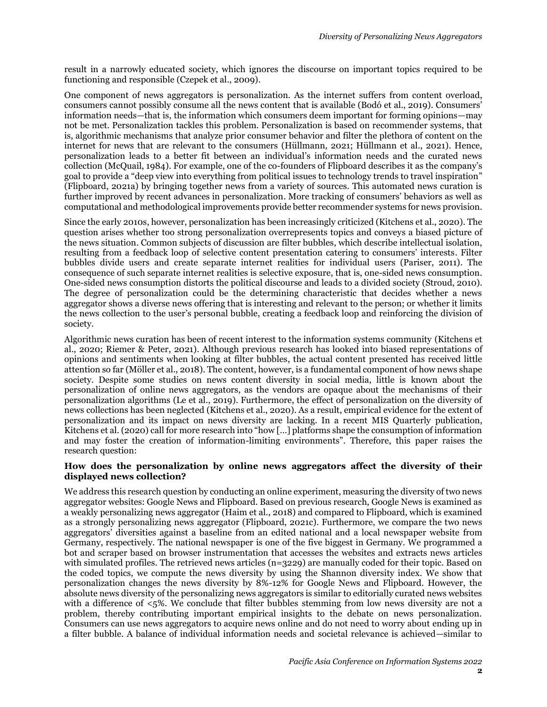result in a narrowly educated society, which ignores the discourse on important topics required to be functioning and responsible (Czepek et al., 2009).

One component of news aggregators is personalization. As the internet suffers from content overload, consumers cannot possibly consume all the news content that is available (Bodó et al., 2019). Consumers' information needs—that is, the information which consumers deem important for forming opinions—may not be met. Personalization tackles this problem. Personalization is based on recommender systems, that is, algorithmic mechanisms that analyze prior consumer behavior and filter the plethora of content on the internet for news that are relevant to the consumers (Hüllmann, 2021; Hüllmann et al., 2021). Hence, personalization leads to a better fit between an individual's information needs and the curated news collection (McQuail, 1984). For example, one of the co-founders of Flipboard describes it as the company's goal to provide a "deep view into everything from political issues to technology trends to travel inspiration" (Flipboard, 2021a) by bringing together news from a variety of sources. This automated news curation is further improved by recent advances in personalization. More tracking of consumers' behaviors as well as computational and methodological improvements provide better recommender systems for news provision.

Since the early 2010s, however, personalization has been increasingly criticized (Kitchens et al., 2020). The question arises whether too strong personalization overrepresents topics and conveys a biased picture of the news situation. Common subjects of discussion are filter bubbles, which describe intellectual isolation, resulting from a feedback loop of selective content presentation catering to consumers' interests. Filter bubbles divide users and create separate internet realities for individual users (Pariser, 2011). The consequence of such separate internet realities is selective exposure, that is, one-sided news consumption. One-sided news consumption distorts the political discourse and leads to a divided society (Stroud, 2010). The degree of personalization could be the determining characteristic that decides whether a news aggregator shows a diverse news offering that is interesting and relevant to the person; or whether it limits the news collection to the user's personal bubble, creating a feedback loop and reinforcing the division of society.

Algorithmic news curation has been of recent interest to the information systems community (Kitchens et al., 2020; Riemer & Peter, 2021). Although previous research has looked into biased representations of opinions and sentiments when looking at filter bubbles, the actual content presented has received little attention so far (Möller et al., 2018). The content, however, is a fundamental component of how news shape society. Despite some studies on news content diversity in social media, little is known about the personalization of online news aggregators, as the vendors are opaque about the mechanisms of their personalization algorithms (Le et al., 2019). Furthermore, the effect of personalization on the diversity of news collections has been neglected (Kitchens et al., 2020). As a result, empirical evidence for the extent of personalization and its impact on news diversity are lacking. In a recent MIS Quarterly publication, Kitchens et al. (2020) call for more research into "how […] platforms shape the consumption of information and may foster the creation of information-limiting environments". Therefore, this paper raises the research question:

#### **How does the personalization by online news aggregators affect the diversity of their displayed news collection?**

We address this research question by conducting an online experiment, measuring the diversity of two news aggregator websites: Google News and Flipboard. Based on previous research, Google News is examined as a weakly personalizing news aggregator (Haim et al., 2018) and compared to Flipboard, which is examined as a strongly personalizing news aggregator (Flipboard, 2021c). Furthermore, we compare the two news aggregators' diversities against a baseline from an edited national and a local newspaper website from Germany, respectively. The national newspaper is one of the five biggest in Germany. We programmed a bot and scraper based on browser instrumentation that accesses the websites and extracts news articles with simulated profiles. The retrieved news articles  $(n=3229)$  are manually coded for their topic. Based on the coded topics, we compute the news diversity by using the Shannon diversity index. We show that personalization changes the news diversity by 8%-12% for Google News and Flipboard. However, the absolute news diversity of the personalizing news aggregators is similar to editorially curated news websites with a difference of <5%. We conclude that filter bubbles stemming from low news diversity are not a problem, thereby contributing important empirical insights to the debate on news personalization. Consumers can use news aggregators to acquire news online and do not need to worry about ending up in a filter bubble. A balance of individual information needs and societal relevance is achieved—similar to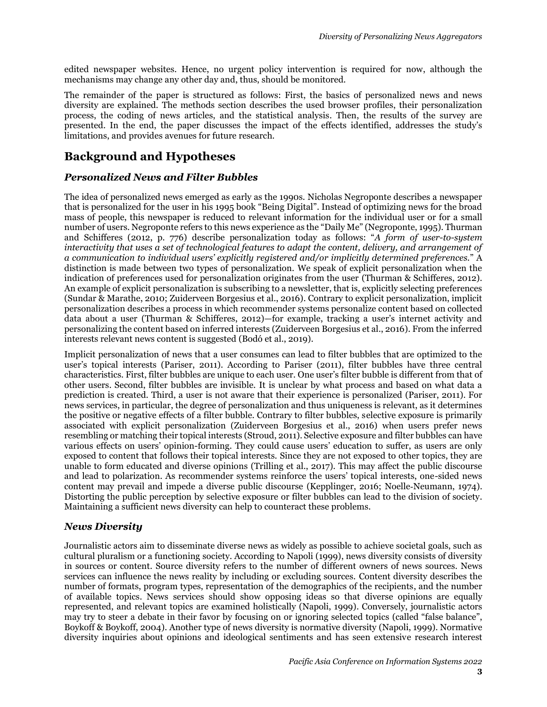edited newspaper websites. Hence, no urgent policy intervention is required for now, although the mechanisms may change any other day and, thus, should be monitored.

The remainder of the paper is structured as follows: First, the basics of personalized news and news diversity are explained. The methods section describes the used browser profiles, their personalization process, the coding of news articles, and the statistical analysis. Then, the results of the survey are presented. In the end, the paper discusses the impact of the effects identified, addresses the study's limitations, and provides avenues for future research.

# **Background and Hypotheses**

#### *Personalized News and Filter Bubbles*

The idea of personalized news emerged as early as the 1990s. Nicholas Negroponte describes a newspaper that is personalized for the user in his 1995 book "Being Digital". Instead of optimizing news for the broad mass of people, this newspaper is reduced to relevant information for the individual user or for a small number of users. Negroponte refers to this news experience as the "Daily Me" (Negroponte, 1995). Thurman and Schifferes (2012, p. 776) describe personalization today as follows: "*A form of user-to-system interactivity that uses a set of technological features to adapt the content, delivery, and arrangement of a communication to individual users' explicitly registered and/or implicitly determined preferences.*" A distinction is made between two types of personalization. We speak of explicit personalization when the indication of preferences used for personalization originates from the user (Thurman & Schifferes, 2012). An example of explicit personalization is subscribing to a newsletter, that is, explicitly selecting preferences (Sundar & Marathe, 2010; Zuiderveen Borgesius et al., 2016). Contrary to explicit personalization, implicit personalization describes a process in which recommender systems personalize content based on collected data about a user (Thurman & Schifferes, 2012)—for example, tracking a user's internet activity and personalizing the content based on inferred interests (Zuiderveen Borgesius et al., 2016). From the inferred interests relevant news content is suggested (Bodó et al., 2019).

Implicit personalization of news that a user consumes can lead to filter bubbles that are optimized to the user's topical interests (Pariser, 2011). According to Pariser (2011), filter bubbles have three central characteristics. First, filter bubbles are unique to each user. One user's filter bubble is different from that of other users. Second, filter bubbles are invisible. It is unclear by what process and based on what data a prediction is created. Third, a user is not aware that their experience is personalized (Pariser, 2011). For news services, in particular, the degree of personalization and thus uniqueness is relevant, as it determines the positive or negative effects of a filter bubble. Contrary to filter bubbles, selective exposure is primarily associated with explicit personalization (Zuiderveen Borgesius et al., 2016) when users prefer news resembling or matching their topical interests (Stroud, 2011). Selective exposure and filter bubbles can have various effects on users' opinion-forming. They could cause users' education to suffer, as users are only exposed to content that follows their topical interests. Since they are not exposed to other topics, they are unable to form educated and diverse opinions (Trilling et al., 2017). This may affect the public discourse and lead to polarization. As recommender systems reinforce the users' topical interests, one-sided news content may prevail and impede a diverse public discourse (Kepplinger, 2016; Noelle-Neumann, 1974). Distorting the public perception by selective exposure or filter bubbles can lead to the division of society. Maintaining a sufficient news diversity can help to counteract these problems.

#### *News Diversity*

Journalistic actors aim to disseminate diverse news as widely as possible to achieve societal goals, such as cultural pluralism or a functioning society. According to Napoli (1999), news diversity consists of diversity in sources or content. Source diversity refers to the number of different owners of news sources. News services can influence the news reality by including or excluding sources. Content diversity describes the number of formats, program types, representation of the demographics of the recipients, and the number of available topics. News services should show opposing ideas so that diverse opinions are equally represented, and relevant topics are examined holistically (Napoli, 1999). Conversely, journalistic actors may try to steer a debate in their favor by focusing on or ignoring selected topics (called "false balance", Boykoff & Boykoff, 2004). Another type of news diversity is normative diversity (Napoli, 1999). Normative diversity inquiries about opinions and ideological sentiments and has seen extensive research interest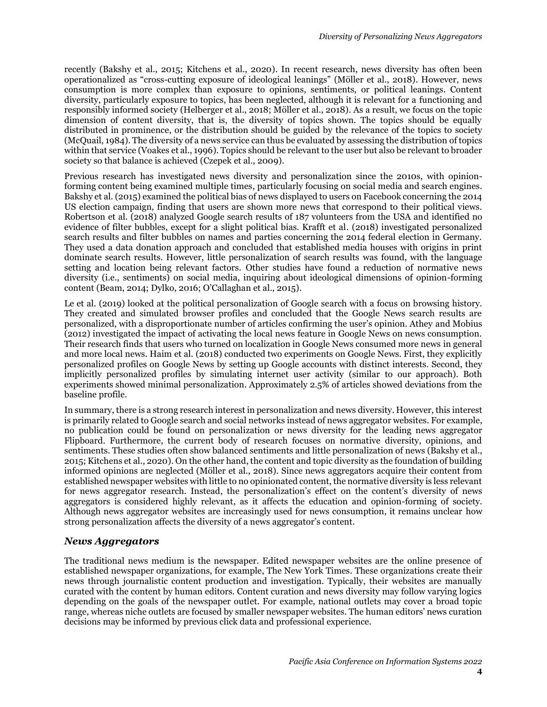recently (Bakshy et al., 2015; Kitchens et al., 2020). In recent research, news diversity has often been operationalized as "cross-cutting exposure of ideological leanings" (Möller et al., 2018). However, news consumption is more complex than exposure to opinions, sentiments, or political leanings. Content diversity, particularly exposure to topics, has been neglected, although it is relevant for a functioning and responsibly informed society (Helberger et al., 2018; Möller et al., 2018). As a result, we focus on the topic dimension of content diversity, that is, the diversity of topics shown. The topics should be equally distributed in prominence, or the distribution should be guided by the relevance of the topics to society (McQuail, 1984). The diversity of a news service can thus be evaluated by assessing the distribution of topics within that service (Voakes et al., 1996). Topics should be relevant to the user but also be relevant to broader society so that balance is achieved (Czepek et al., 2009).

Previous research has investigated news diversity and personalization since the 2010s, with opinionforming content being examined multiple times, particularly focusing on social media and search engines. Bakshy et al. (2015) examined the political bias of news displayed to users on Facebook concerning the 2014 US election campaign, finding that users are shown more news that correspond to their political views. Robertson et al. (2018) analyzed Google search results of 187 volunteers from the USA and identified no evidence of filter bubbles, except for a slight political bias. Krafft et al. (2018) investigated personalized search results and filter bubbles on names and parties concerning the 2014 federal election in Germany. They used a data donation approach and concluded that established media houses with origins in print dominate search results. However, little personalization of search results was found, with the language setting and location being relevant factors. Other studies have found a reduction of normative news diversity (i.e., sentiments) on social media, inquiring about ideological dimensions of opinion-forming content (Beam, 2014; Dylko, 2016; O'Callaghan et al., 2015).

Le et al. (2019) looked at the political personalization of Google search with a focus on browsing history. They created and simulated browser profiles and concluded that the Google News search results are personalized, with a disproportionate number of articles confirming the user's opinion. Athey and Mobius (2012) investigated the impact of activating the local news feature in Google News on news consumption. Their research finds that users who turned on localization in Google News consumed more news in general and more local news. Haim et al. (2018) conducted two experiments on Google News. First, they explicitly personalized profiles on Google News by setting up Google accounts with distinct interests. Second, they implicitly personalized profiles by simulating internet user activity (similar to our approach). Both experiments showed minimal personalization. Approximately 2.5% of articles showed deviations from the baseline profile.

In summary, there is a strong research interest in personalization and news diversity. However, this interest is primarily related to Google search and social networks instead of news aggregator websites. For example, no publication could be found on personalization or news diversity for the leading news aggregator Flipboard. Furthermore, the current body of research focuses on normative diversity, opinions, and sentiments. These studies often show balanced sentiments and little personalization of news (Bakshy et al., 2015; Kitchens et al., 2020). On the other hand, the content and topic diversity as the foundation of building informed opinions are neglected (Möller et al., 2018). Since news aggregators acquire their content from established newspaper websites with little to no opinionated content, the normative diversity is less relevant for news aggregator research. Instead, the personalization's effect on the content's diversity of news aggregators is considered highly relevant, as it affects the education and opinion-forming of society. Although news aggregator websites are increasingly used for news consumption, it remains unclear how strong personalization affects the diversity of a news aggregator's content.

#### *News Aggregators*

The traditional news medium is the newspaper. Edited newspaper websites are the online presence of established newspaper organizations, for example, The New York Times. These organizations create their news through journalistic content production and investigation. Typically, their websites are manually curated with the content by human editors. Content curation and news diversity may follow varying logics depending on the goals of the newspaper outlet. For example, national outlets may cover a broad topic range, whereas niche outlets are focused by smaller newspaper websites. The human editors' news curation decisions may be informed by previous click data and professional experience.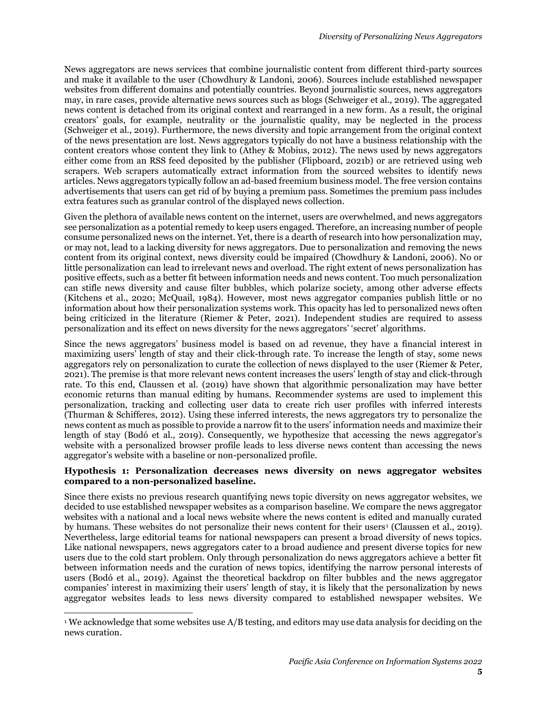News aggregators are news services that combine journalistic content from different third-party sources and make it available to the user (Chowdhury & Landoni, 2006). Sources include established newspaper websites from different domains and potentially countries. Beyond journalistic sources, news aggregators may, in rare cases, provide alternative news sources such as blogs (Schweiger et al., 2019). The aggregated news content is detached from its original context and rearranged in a new form. As a result, the original creators' goals, for example, neutrality or the journalistic quality, may be neglected in the process (Schweiger et al., 2019). Furthermore, the news diversity and topic arrangement from the original context of the news presentation are lost. News aggregators typically do not have a business relationship with the content creators whose content they link to (Athey & Mobius, 2012). The news used by news aggregators either come from an RSS feed deposited by the publisher (Flipboard, 2021b) or are retrieved using web scrapers. Web scrapers automatically extract information from the sourced websites to identify news articles. News aggregators typically follow an ad-based freemium business model. The free version contains advertisements that users can get rid of by buying a premium pass. Sometimes the premium pass includes extra features such as granular control of the displayed news collection.

Given the plethora of available news content on the internet, users are overwhelmed, and news aggregators see personalization as a potential remedy to keep users engaged. Therefore, an increasing number of people consume personalized news on the internet. Yet, there is a dearth of research into how personalization may, or may not, lead to a lacking diversity for news aggregators. Due to personalization and removing the news content from its original context, news diversity could be impaired (Chowdhury & Landoni, 2006). No or little personalization can lead to irrelevant news and overload. The right extent of news personalization has positive effects, such as a better fit between information needs and news content. Too much personalization can stifle news diversity and cause filter bubbles, which polarize society, among other adverse effects (Kitchens et al., 2020; McQuail, 1984). However, most news aggregator companies publish little or no information about how their personalization systems work. This opacity has led to personalized news often being criticized in the literature (Riemer & Peter, 2021). Independent studies are required to assess personalization and its effect on news diversity for the news aggregators' 'secret' algorithms.

Since the news aggregators' business model is based on ad revenue, they have a financial interest in maximizing users' length of stay and their click-through rate. To increase the length of stay, some news aggregators rely on personalization to curate the collection of news displayed to the user (Riemer & Peter, 2021). The premise is that more relevant news content increases the users' length of stay and click-through rate. To this end, Claussen et al. (2019) have shown that algorithmic personalization may have better economic returns than manual editing by humans. Recommender systems are used to implement this personalization, tracking and collecting user data to create rich user profiles with inferred interests (Thurman & Schifferes, 2012). Using these inferred interests, the news aggregators try to personalize the news content as much as possible to provide a narrow fit to the users' information needs and maximize their length of stay (Bodó et al., 2019). Consequently, we hypothesize that accessing the news aggregator's website with a personalized browser profile leads to less diverse news content than accessing the news aggregator's website with a baseline or non-personalized profile.

#### **Hypothesis 1: Personalization decreases news diversity on news aggregator websites compared to a non-personalized baseline.**

Since there exists no previous research quantifying news topic diversity on news aggregator websites, we decided to use established newspaper websites as a comparison baseline. We compare the news aggregator websites with a national and a local news website where the news content is edited and manually curated by humans. These websites do not personalize their news content for their users<sup>1</sup> (Claussen et al., 2019). Nevertheless, large editorial teams for national newspapers can present a broad diversity of news topics. Like national newspapers, news aggregators cater to a broad audience and present diverse topics for new users due to the cold start problem. Only through personalization do news aggregators achieve a better fit between information needs and the curation of news topics, identifying the narrow personal interests of users (Bodó et al., 2019). Against the theoretical backdrop on filter bubbles and the news aggregator companies' interest in maximizing their users' length of stay, it is likely that the personalization by news aggregator websites leads to less news diversity compared to established newspaper websites. We

<sup>1</sup> We acknowledge that some websites use A/B testing, and editors may use data analysis for deciding on the news curation.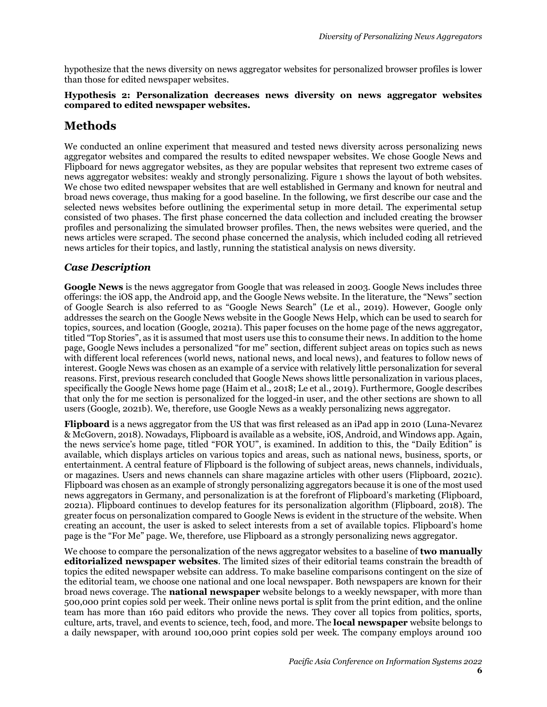hypothesize that the news diversity on news aggregator websites for personalized browser profiles is lower than those for edited newspaper websites.

#### **Hypothesis 2: Personalization decreases news diversity on news aggregator websites compared to edited newspaper websites.**

# **Methods**

We conducted an online experiment that measured and tested news diversity across personalizing news aggregator websites and compared the results to edited newspaper websites. We chose Google News and Flipboard for news aggregator websites, as they are popular websites that represent two extreme cases of news aggregator websites: weakly and strongly personalizing. [Figure 1](#page-6-0) shows the layout of both websites. We chose two edited newspaper websites that are well established in Germany and known for neutral and broad news coverage, thus making for a good baseline. In the following, we first describe our case and the selected news websites before outlining the experimental setup in more detail. The experimental setup consisted of two phases. The first phase concerned the data collection and included creating the browser profiles and personalizing the simulated browser profiles. Then, the news websites were queried, and the news articles were scraped. The second phase concerned the analysis, which included coding all retrieved news articles for their topics, and lastly, running the statistical analysis on news diversity.

## *Case Description*

**Google News** is the news aggregator from Google that was released in 2003. Google News includes three offerings: the iOS app, the Android app, and the Google News website. In the literature, the "News" section of Google Search is also referred to as "Google News Search" (Le et al., 2019). However, Google only addresses the search on the Google News website in the Google News Help, which can be used to search for topics, sources, and location (Google, 2021a). This paper focuses on the home page of the news aggregator, titled "Top Stories", as it is assumed that most users use this to consume their news. In addition to the home page, Google News includes a personalized "for me" section, different subject areas on topics such as news with different local references (world news, national news, and local news), and features to follow news of interest. Google News was chosen as an example of a service with relatively little personalization for several reasons. First, previous research concluded that Google News shows little personalization in various places, specifically the Google News home page (Haim et al., 2018; Le et al., 2019). Furthermore, Google describes that only the for me section is personalized for the logged-in user, and the other sections are shown to all users (Google, 2021b). We, therefore, use Google News as a weakly personalizing news aggregator.

**Flipboard** is a news aggregator from the US that was first released as an iPad app in 2010 (Luna-Nevarez & McGovern, 2018). Nowadays, Flipboard is available as a website, iOS, Android, and Windows app. Again, the news service's home page, titled "FOR YOU", is examined. In addition to this, the "Daily Edition" is available, which displays articles on various topics and areas, such as national news, business, sports, or entertainment. A central feature of Flipboard is the following of subject areas, news channels, individuals, or magazines. Users and news channels can share magazine articles with other users (Flipboard, 2021c). Flipboard was chosen as an example of strongly personalizing aggregators because it is one of the most used news aggregators in Germany, and personalization is at the forefront of Flipboard's marketing (Flipboard, 2021a). Flipboard continues to develop features for its personalization algorithm (Flipboard, 2018). The greater focus on personalization compared to Google News is evident in the structure of the website. When creating an account, the user is asked to select interests from a set of available topics. Flipboard's home page is the "For Me" page. We, therefore, use Flipboard as a strongly personalizing news aggregator.

We choose to compare the personalization of the news aggregator websites to a baseline of **two manually editorialized newspaper websites**. The limited sizes of their editorial teams constrain the breadth of topics the edited newspaper website can address. To make baseline comparisons contingent on the size of the editorial team, we choose one national and one local newspaper. Both newspapers are known for their broad news coverage. The **national newspaper** website belongs to a weekly newspaper, with more than 500,000 print copies sold per week. Their online news portal is split from the print edition, and the online team has more than 160 paid editors who provide the news. They cover all topics from politics, sports, culture, arts, travel, and events to science, tech, food, and more. The **local newspaper** website belongs to a daily newspaper, with around 100,000 print copies sold per week. The company employs around 100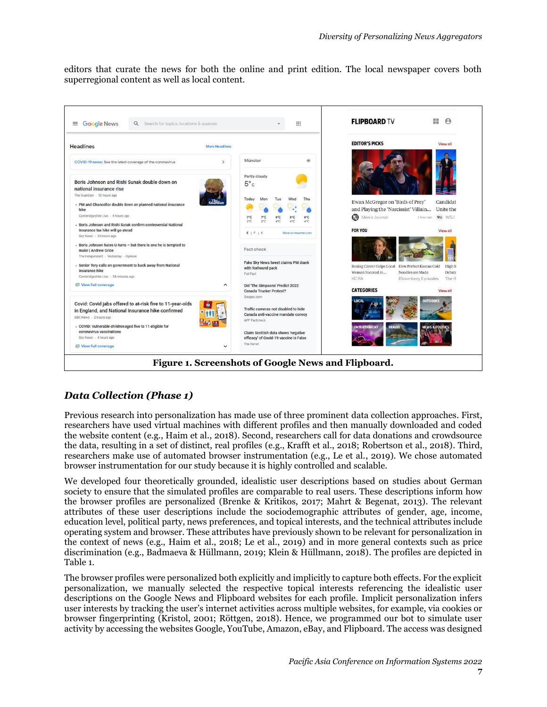editors that curate the news for both the online and print edition. The local newspaper covers both superregional content as well as local content.



## <span id="page-6-0"></span>*Data Collection (Phase 1)*

Previous research into personalization has made use of three prominent data collection approaches. First, researchers have used virtual machines with different profiles and then manually downloaded and coded the website content (e.g., Haim et al., 2018). Second, researchers call for data donations and crowdsource the data, resulting in a set of distinct, real profiles (e.g., Krafft et al., 2018; Robertson et al., 2018). Third, researchers make use of automated browser instrumentation (e.g., Le et al., 2019). We chose automated browser instrumentation for our study because it is highly controlled and scalable.

We developed four theoretically grounded, idealistic user descriptions based on studies about German society to ensure that the simulated profiles are comparable to real users. These descriptions inform how the browser profiles are personalized (Brenke & Kritikos, 2017; Mahrt & Begenat, 2013). The relevant attributes of these user descriptions include the sociodemographic attributes of gender, age, income, education level, political party, news preferences, and topical interests, and the technical attributes include operating system and browser. These attributes have previously shown to be relevant for personalization in the context of news (e.g., Haim et al., 2018; Le et al., 2019) and in more general contexts such as price discrimination (e.g., Badmaeva & Hüllmann, 2019; Klein & Hüllmann, 2018). The profiles are depicted in [Table 1.](#page-7-0)

The browser profiles were personalized both explicitly and implicitly to capture both effects. For the explicit personalization, we manually selected the respective topical interests referencing the idealistic user descriptions on the Google News and Flipboard websites for each profile. Implicit personalization infers user interests by tracking the user's internet activities across multiple websites, for example, via cookies or browser fingerprinting (Kristol, 2001; Röttgen, 2018). Hence, we programmed our bot to simulate user activity by accessing the websites Google, YouTube, Amazon, eBay, and Flipboard. The access was designed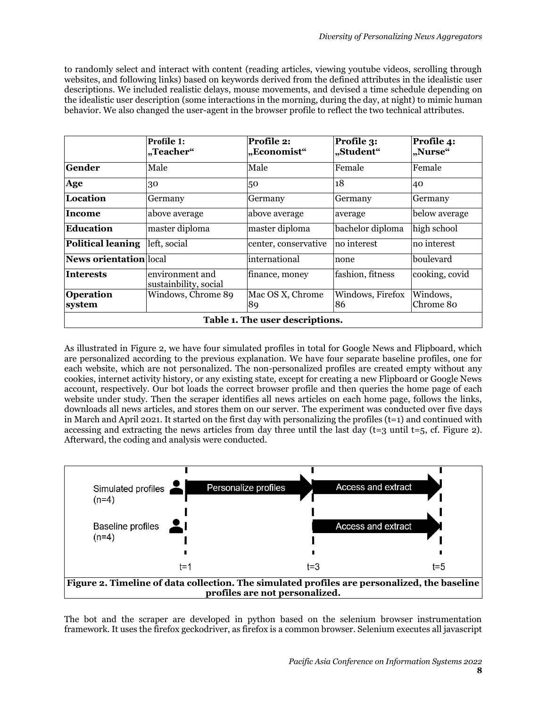to randomly select and interact with content (reading articles, viewing youtube videos, scrolling through websites, and following links) based on keywords derived from the defined attributes in the idealistic user descriptions. We included realistic delays, mouse movements, and devised a time schedule depending on the idealistic user description (some interactions in the morning, during the day, at night) to mimic human behavior. We also changed the user-agent in the browser profile to reflect the two technical attributes.

|                                 | Profile 1:<br>"Teacher"                  | Profile 2:<br>"Economist" | Profile 3:<br>"Student" | Profile 4:<br>"Nurse" |  |  |
|---------------------------------|------------------------------------------|---------------------------|-------------------------|-----------------------|--|--|
| <b>Gender</b>                   | Male                                     | Male                      | Female                  | Female                |  |  |
| Age                             | 30                                       | 50                        | 18                      | 40                    |  |  |
| Location                        | Germany                                  | Germany                   | Germany                 | Germany               |  |  |
| Income                          | above average                            | above average             | average                 | below average         |  |  |
| Education                       | master diploma                           | master diploma            | bachelor diploma        | high school           |  |  |
| <b>Political leaning</b>        | left, social                             | center, conservative      | no interest             | no interest           |  |  |
| News orientation local          |                                          | international             | none                    | boulevard             |  |  |
| <b>Interests</b>                | environment and<br>sustainbility, social | finance, money            | fashion, fitness        | cooking, covid        |  |  |
| <b>Operation</b><br>system      | Windows, Chrome 89                       | Mac OS X, Chrome<br>89    | Windows, Firefox<br>86  | Windows,<br>Chrome 80 |  |  |
| Table 1. The user descriptions. |                                          |                           |                         |                       |  |  |

<span id="page-7-0"></span>As illustrated in [Figure 2,](#page-7-1) we have four simulated profiles in total for Google News and Flipboard, which are personalized according to the previous explanation. We have four separate baseline profiles, one for each website, which are not personalized. The non-personalized profiles are created empty without any cookies, internet activity history, or any existing state, except for creating a new Flipboard or Google News account, respectively. Our bot loads the correct browser profile and then queries the home page of each website under study. Then the scraper identifies all news articles on each home page, follows the links, downloads all news articles, and stores them on our server. The experiment was conducted over five days in March and April 2021. It started on the first day with personalizing the profiles  $(t=1)$  and continued with accessing and extracting the news articles from day three until the last day ( $t=3$  until  $t=5$ , cf. [Figure 2\)](#page-7-1). Afterward, the coding and analysis were conducted.



<span id="page-7-1"></span>The bot and the scraper are developed in python based on the selenium browser instrumentation framework. It uses the firefox geckodriver, as firefox is a common browser. Selenium executes all javascript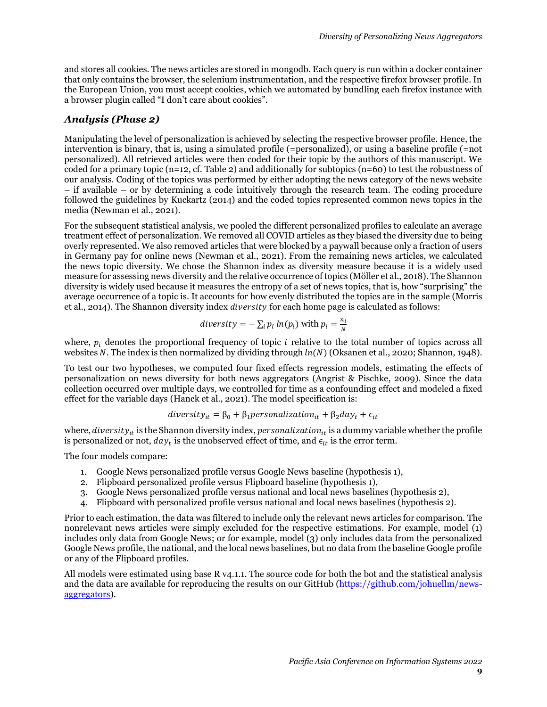and stores all cookies. The news articles are stored in mongodb. Each query is run within a docker container that only contains the browser, the selenium instrumentation, and the respective firefox browser profile. In the European Union, you must accept cookies, which we automated by bundling each firefox instance with a browser plugin called "I don't care about cookies".

#### *Analysis (Phase 2)*

Manipulating the level of personalization is achieved by selecting the respective browser profile. Hence, the intervention is binary, that is, using a simulated profile (=personalized), or using a baseline profile (=not personalized). All retrieved articles were then coded for their topic by the authors of this manuscript. We coded for a primary topic (n=12, cf. [Table 2\)](#page-9-0) and additionally for subtopics (n=60) to test the robustness of our analysis. Coding of the topics was performed by either adopting the news category of the news website – if available – or by determining a code intuitively through the research team. The coding procedure followed the guidelines by Kuckartz (2014) and the coded topics represented common news topics in the media (Newman et al., 2021).

For the subsequent statistical analysis, we pooled the different personalized profiles to calculate an average treatment effect of personalization. We removed all COVID articles as they biased the diversity due to being overly represented. We also removed articles that were blocked by a paywall because only a fraction of users in Germany pay for online news (Newman et al., 2021). From the remaining news articles, we calculated the news topic diversity. We chose the Shannon index as diversity measure because it is a widely used measure for assessing news diversity and the relative occurrence of topics (Möller et al., 2018). The Shannon diversity is widely used because it measures the entropy of a set of news topics, that is, how "surprising" the average occurrence of a topic is. It accounts for how evenly distributed the topics are in the sample (Morris et al., 2014). The Shannon diversity index *diversity* for each home page is calculated as follows:

diversity = 
$$
-\sum_i p_i \ln(p_i)
$$
 with  $p_i = \frac{n_i}{N}$ 

where,  $p_i$  denotes the proportional frequency of topic *i* relative to the total number of topics across all websites N. The index is then normalized by dividing through  $ln(N)$  (Oksanen et al., 2020; Shannon, 1948).

To test our two hypotheses, we computed four fixed effects regression models, estimating the effects of personalization on news diversity for both news aggregators (Angrist & Pischke, 2009). Since the data collection occurred over multiple days, we controlled for time as a confounding effect and modeled a fixed effect for the variable days (Hanck et al., 2021). The model specification is:

*diversity*<sub>it</sub> = 
$$
\beta_0 + \beta_1
$$
 *personalization*<sub>it</sub> +  $\beta_2$ *day*<sub>t</sub> +  $\epsilon_{it}$ 

where, diversity is the Shannon diversity index, personalization<sub>it</sub> is a dummy variable whether the profile is personalized or not,  $day_t$  is the unobserved effect of time, and  $\epsilon_{it}$  is the error term.

The four models compare:

- 1. Google News personalized profile versus Google News baseline (hypothesis 1),
- 2. Flipboard personalized profile versus Flipboard baseline (hypothesis 1),
- 3. Google News personalized profile versus national and local news baselines (hypothesis 2),
- 4. Flipboard with personalized profile versus national and local news baselines (hypothesis 2).

Prior to each estimation, the data was filtered to include only the relevant news articles for comparison. The nonrelevant news articles were simply excluded for the respective estimations. For example, model (1) includes only data from Google News; or for example, model (3) only includes data from the personalized Google News profile, the national, and the local news baselines, but no data from the baseline Google profile or any of the Flipboard profiles.

All models were estimated using base R v4.1.1. The source code for both the bot and the statistical analysis and the data are available for reproducing the results on our GitHub [\(https://github.com/johuellm/news](https://github.com/johuellm/news-aggregators)[aggregators\)](https://github.com/johuellm/news-aggregators).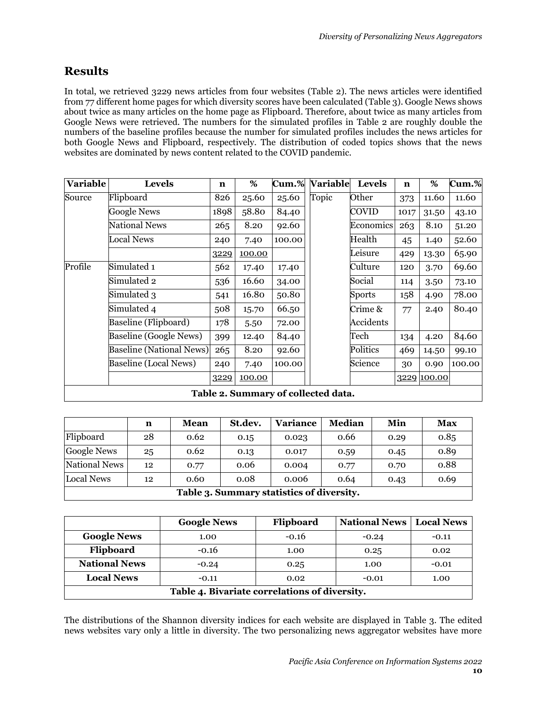# **Results**

In total, we retrieved 3229 news articles from four websites [\(Table 2\)](#page-9-0). The news articles were identified from 77 different home pages for which diversity scores have been calculated [\(Table 3\)](#page-9-1). Google News shows about twice as many articles on the home page as Flipboard. Therefore, about twice as many articles from Google News were retrieved. The numbers for the simulated profiles in [Table 2](#page-9-0) are roughly double the numbers of the baseline profiles because the number for simulated profiles includes the news articles for both Google News and Flipboard, respectively. The distribution of coded topics shows that the news websites are dominated by news content related to the COVID pandemic.

| <b>Variable</b> | <b>Levels</b>                       | n    | %      | Cum.%  | <b>Variable</b> | <b>Levels</b> | n    | %           | Cum.%  |
|-----------------|-------------------------------------|------|--------|--------|-----------------|---------------|------|-------------|--------|
| Source          | Flipboard                           | 826  | 25.60  | 25.60  | Topic           | Other         | 373  | 11.60       | 11.60  |
|                 | <b>Google News</b>                  | 1898 | 58.80  | 84.40  |                 | COVID         | 1017 | 31.50       | 43.10  |
|                 | <b>National News</b>                | 265  | 8.20   | 92.60  |                 | Economics     | 263  | 8.10        | 51.20  |
|                 | <b>Local News</b>                   | 240  | 7.40   | 100.00 |                 | Health        | 45   | 1.40        | 52.60  |
|                 |                                     | 3229 | 100.00 |        |                 | Leisure       | 429  | 13.30       | 65.90  |
| Profile         | Simulated 1                         | 562  | 17.40  | 17.40  |                 | Culture       | 120  | 3.70        | 69.60  |
|                 | Simulated 2                         | 536  | 16.60  | 34.00  |                 | Social        | 114  | 3.50        | 73.10  |
|                 | Simulated 3                         | 541  | 16.80  | 50.80  |                 | <b>Sports</b> | 158  | 4.90        | 78.00  |
|                 | Simulated 4                         | 508  | 15.70  | 66.50  |                 | Crime &       | 77   | 2.40        | 80.40  |
|                 | Baseline (Flipboard)                | 178  | 5.50   | 72.00  |                 | Accidents     |      |             |        |
|                 | <b>Baseline (Google News)</b>       | 399  | 12.40  | 84.40  |                 | Tech          | 134  | 4.20        | 84.60  |
|                 | <b>Baseline (National News)</b>     | 265  | 8.20   | 92.60  |                 | Politics      | 469  | 14.50       | 99.10  |
|                 | <b>Baseline (Local News)</b>        | 240  | 7.40   | 100.00 |                 | Science       | 30   | 0.90        | 100.00 |
|                 |                                     | 3229 | 100.00 |        |                 |               |      | 3229 100.00 |        |
|                 | Table 2. Summary of collected data. |      |        |        |                 |               |      |             |        |

<span id="page-9-0"></span>

|                                           | n  | <b>Mean</b> | St.dev. | <b>Variance</b> | <b>Median</b> | Min  | <b>Max</b> |
|-------------------------------------------|----|-------------|---------|-----------------|---------------|------|------------|
| Flipboard                                 | 28 | 0.62        | 0.15    | 0.023           | 0.66          | 0.29 | 0.85       |
| <b>Google News</b>                        | 25 | 0.62        | 0.13    | 0.017           | 0.59          | 0.45 | 0.89       |
| National News                             | 12 | 0.77        | 0.06    | 0.004           | 0.77          | 0.70 | 0.88       |
| <b>Local News</b>                         | 12 | 0.60        | 0.08    | 0.006           | 0.64          | 0.43 | 0.69       |
| Table 3. Summary statistics of diversity. |    |             |         |                 |               |      |            |

<span id="page-9-1"></span>

|                                               | <b>Google News</b> | Flipboard | <b>National News</b> | <b>Local News</b> |  |  |
|-----------------------------------------------|--------------------|-----------|----------------------|-------------------|--|--|
| <b>Google News</b>                            | 1.00               | $-0.16$   | $-0.24$              | $-0.11$           |  |  |
| Flipboard                                     | $-0.16$            | 1.00      | 0.25                 | 0.02              |  |  |
| <b>National News</b>                          | $-0.24$            | 0.25      | 1.00                 | $-0.01$           |  |  |
| <b>Local News</b>                             | $-0.11$            | 0.02      | $-0.01$              | 1.00              |  |  |
| Table 4. Bivariate correlations of diversity. |                    |           |                      |                   |  |  |

<span id="page-9-2"></span>The distributions of the Shannon diversity indices for each website are displayed in [Table 3.](#page-9-1) The edited news websites vary only a little in diversity. The two personalizing news aggregator websites have more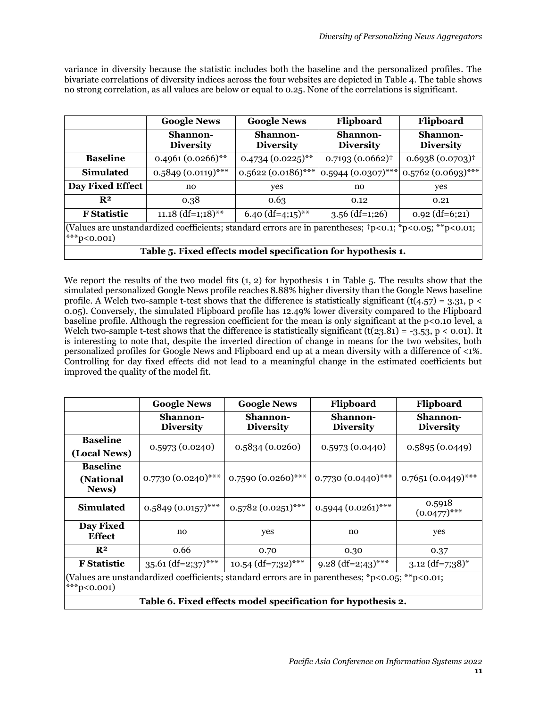variance in diversity because the statistic includes both the baseline and the personalized profiles. The bivariate correlations of diversity indices across the four websites are depicted in [Table 4.](#page-9-2) The table shows no strong correlation, as all values are below or equal to 0.25. None of the correlations is significant.

|                                                                                                                                       | <b>Google News</b>           | <b>Google News</b>                  | Flipboard                    | Flipboard                    |  |  |
|---------------------------------------------------------------------------------------------------------------------------------------|------------------------------|-------------------------------------|------------------------------|------------------------------|--|--|
|                                                                                                                                       | Shannon-<br><b>Diversity</b> | <b>Shannon-</b><br><b>Diversity</b> | Shannon-<br><b>Diversity</b> | Shannon-<br><b>Diversity</b> |  |  |
| <b>Baseline</b>                                                                                                                       | $0.4961(0.0266)$ **          | $0.4734(0.0225)$ **                 | $0.7193(0.0662)^{\dagger}$   | $0.6938(0.0703)^{\dagger}$   |  |  |
| <b>Simulated</b>                                                                                                                      | $0.5849(0.0119)$ ***         | $0.5622(0.0186)$ ***                | $ 0.5944(0.0307)$ ***        | $0.5762(0.0693)$ ***         |  |  |
| <b>Day Fixed Effect</b>                                                                                                               | no                           | yes                                 | no                           | yes                          |  |  |
| R <sup>2</sup>                                                                                                                        | 0.38                         | 0.63                                | 0.12                         | 0.21                         |  |  |
| <b>F</b> Statistic                                                                                                                    | $11.18$ (df=1;18)**          | $6.40$ (df=4;15) <sup>**</sup>      | $3.56$ (df=1;26)             | $0.92$ (df=6;21)             |  |  |
| (Values are unstandardized coefficients; standard errors are in parentheses; $tp < 0.1$ ; *p $< 0.05$ ; **p $< 0.01$ ;<br>$**p<0.001$ |                              |                                     |                              |                              |  |  |
| Table 5. Fixed effects model specification for hypothesis 1.                                                                          |                              |                                     |                              |                              |  |  |

<span id="page-10-0"></span>We report the results of the two model fits (1, 2) for hypothesis 1 in [Table 5.](#page-10-0) The results show that the simulated personalized Google News profile reaches 8.88% higher diversity than the Google News baseline profile. A Welch two-sample t-test shows that the difference is statistically significant (t(4.57) = 3.31, p < 0.05). Conversely, the simulated Flipboard profile has 12.49% lower diversity compared to the Flipboard baseline profile. Although the regression coefficient for the mean is only significant at the p<0.10 level, a Welch two-sample t-test shows that the difference is statistically significant  $(t(23.81) = -3.53, p < 0.01)$ . It is interesting to note that, despite the inverted direction of change in means for the two websites, both personalized profiles for Google News and Flipboard end up at a mean diversity with a difference of <1%. Controlling for day fixed effects did not lead to a meaningful change in the estimated coefficients but improved the quality of the model fit.

<span id="page-10-1"></span>

|                                                                                                                | <b>Google News</b>                  | <b>Google News</b>           | Flipboard                           | Flipboard                     |  |  |
|----------------------------------------------------------------------------------------------------------------|-------------------------------------|------------------------------|-------------------------------------|-------------------------------|--|--|
|                                                                                                                | <b>Shannon-</b><br><b>Diversity</b> | Shannon-<br><b>Diversity</b> | <b>Shannon-</b><br><b>Diversity</b> |                               |  |  |
| <b>Baseline</b>                                                                                                | 0.5973(0.0240)                      | 0.5834(0.0260)               | 0.5973(0.0440)                      | 0.5895(0.0449)                |  |  |
| (Local News)                                                                                                   |                                     |                              |                                     |                               |  |  |
| <b>Baseline</b>                                                                                                |                                     |                              |                                     |                               |  |  |
| (National<br>News)                                                                                             | $0.7730(0.0240)$ ***                | $0.7590(0.0260)$ ***         | $0.7730(0.0440)$ ***                | $0.7651(0.0449)$ ***          |  |  |
| <b>Simulated</b>                                                                                               | $0.5849(0.0157)$ ***                | $0.5782(0.0251)$ ***         | $0.5944 (0.0261)$ ***               | 0.5918<br>$(0.0477)$ ***      |  |  |
| <b>Day Fixed</b><br><b>Effect</b>                                                                              | no                                  | yes                          | no                                  | yes                           |  |  |
| R <sup>2</sup>                                                                                                 | 0.66                                | 0.70                         | 0.30                                | 0.37                          |  |  |
| <b>F</b> Statistic                                                                                             | $35.61$ (df=2;37)***                | $10.54$ (df=7;32)***         | $9.28$ (df=2;43)***                 | $3.12$ (df=7;38) <sup>*</sup> |  |  |
| (Values are unstandardized coefficients; standard errors are in parentheses; *p<0.05; **p<0.01;<br>***p<0.001) |                                     |                              |                                     |                               |  |  |
| Table 6. Fixed effects model specification for hypothesis 2.                                                   |                                     |                              |                                     |                               |  |  |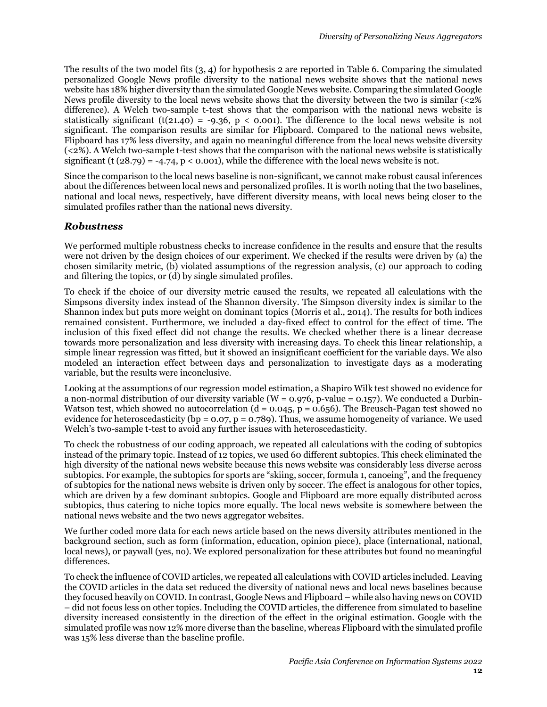The results of the two model fits (3, 4) for hypothesis 2 are reported in [Table 6.](#page-10-1) Comparing the simulated personalized Google News profile diversity to the national news website shows that the national news website has 18% higher diversity than the simulated Google News website. Comparing the simulated Google News profile diversity to the local news website shows that the diversity between the two is similar (<2% difference). A Welch two-sample t-test shows that the comparison with the national news website is statistically significant (t(21.40) = -9.36, p < 0.001). The difference to the local news website is not significant. The comparison results are similar for Flipboard. Compared to the national news website, Flipboard has 17% less diversity, and again no meaningful difference from the local news website diversity (<2%). A Welch two-sample t-test shows that the comparison with the national news website is statistically significant (t  $(28.79) = -4.74$ ,  $p < 0.001$ ), while the difference with the local news website is not.

Since the comparison to the local news baseline is non-significant, we cannot make robust causal inferences about the differences between local news and personalized profiles. It is worth noting that the two baselines, national and local news, respectively, have different diversity means, with local news being closer to the simulated profiles rather than the national news diversity.

#### *Robustness*

We performed multiple robustness checks to increase confidence in the results and ensure that the results were not driven by the design choices of our experiment. We checked if the results were driven by (a) the chosen similarity metric, (b) violated assumptions of the regression analysis, (c) our approach to coding and filtering the topics, or (d) by single simulated profiles.

To check if the choice of our diversity metric caused the results, we repeated all calculations with the Simpsons diversity index instead of the Shannon diversity. The Simpson diversity index is similar to the Shannon index but puts more weight on dominant topics (Morris et al., 2014). The results for both indices remained consistent. Furthermore, we included a day-fixed effect to control for the effect of time. The inclusion of this fixed effect did not change the results. We checked whether there is a linear decrease towards more personalization and less diversity with increasing days. To check this linear relationship, a simple linear regression was fitted, but it showed an insignificant coefficient for the variable days. We also modeled an interaction effect between days and personalization to investigate days as a moderating variable, but the results were inconclusive.

Looking at the assumptions of our regression model estimation, a Shapiro Wilk test showed no evidence for a non-normal distribution of our diversity variable ( $W = 0.976$ , p-value = 0.157). We conducted a Durbin-Watson test, which showed no autocorrelation ( $d = 0.045$ ,  $p = 0.656$ ). The Breusch-Pagan test showed no evidence for heteroscedasticity (bp =  $0.07$ , p =  $0.789$ ). Thus, we assume homogeneity of variance. We used Welch's two-sample t-test to avoid any further issues with heteroscedasticity.

To check the robustness of our coding approach, we repeated all calculations with the coding of subtopics instead of the primary topic. Instead of 12 topics, we used 60 different subtopics. This check eliminated the high diversity of the national news website because this news website was considerably less diverse across subtopics. For example, the subtopics for sports are "skiing, soccer, formula 1, canoeing", and the frequency of subtopics for the national news website is driven only by soccer. The effect is analogous for other topics, which are driven by a few dominant subtopics. Google and Flipboard are more equally distributed across subtopics, thus catering to niche topics more equally. The local news website is somewhere between the national news website and the two news aggregator websites.

We further coded more data for each news article based on the news diversity attributes mentioned in the background section, such as form (information, education, opinion piece), place (international, national, local news), or paywall (yes, no). We explored personalization for these attributes but found no meaningful differences.

To check the influence of COVID articles, we repeated all calculations with COVID articles included. Leaving the COVID articles in the data set reduced the diversity of national news and local news baselines because they focused heavily on COVID. In contrast, Google News and Flipboard – while also having news on COVID – did not focus less on other topics. Including the COVID articles, the difference from simulated to baseline diversity increased consistently in the direction of the effect in the original estimation. Google with the simulated profile was now 12% more diverse than the baseline, whereas Flipboard with the simulated profile was 15% less diverse than the baseline profile.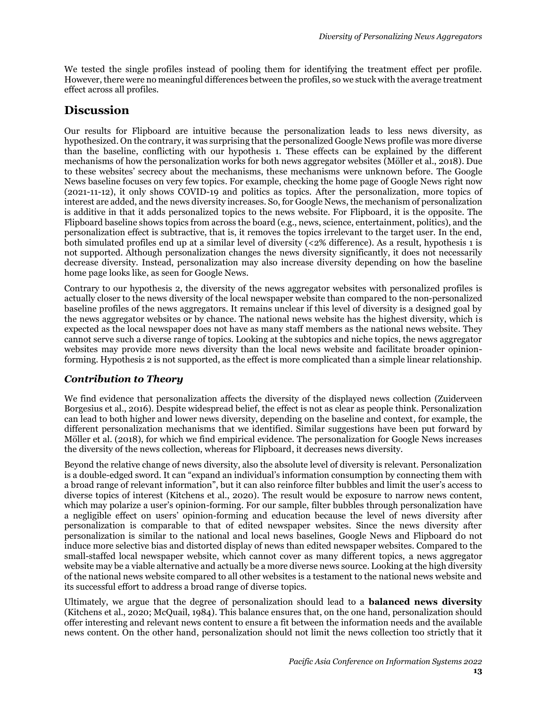We tested the single profiles instead of pooling them for identifying the treatment effect per profile. However, there were no meaningful differences between the profiles, so we stuck with the average treatment effect across all profiles.

# **Discussion**

Our results for Flipboard are intuitive because the personalization leads to less news diversity, as hypothesized. On the contrary, it was surprising that the personalized Google News profile was more diverse than the baseline, conflicting with our hypothesis 1. These effects can be explained by the different mechanisms of how the personalization works for both news aggregator websites (Möller et al., 2018). Due to these websites' secrecy about the mechanisms, these mechanisms were unknown before. The Google News baseline focuses on very few topics. For example, checking the home page of Google News right now (2021-11-12), it only shows COVID-19 and politics as topics. After the personalization, more topics of interest are added, and the news diversity increases. So, for Google News, the mechanism of personalization is additive in that it adds personalized topics to the news website. For Flipboard, it is the opposite. The Flipboard baseline shows topics from across the board (e.g., news, science, entertainment, politics), and the personalization effect is subtractive, that is, it removes the topics irrelevant to the target user. In the end, both simulated profiles end up at a similar level of diversity (<2% difference). As a result, hypothesis 1 is not supported. Although personalization changes the news diversity significantly, it does not necessarily decrease diversity. Instead, personalization may also increase diversity depending on how the baseline home page looks like, as seen for Google News.

Contrary to our hypothesis 2, the diversity of the news aggregator websites with personalized profiles is actually closer to the news diversity of the local newspaper website than compared to the non-personalized baseline profiles of the news aggregators. It remains unclear if this level of diversity is a designed goal by the news aggregator websites or by chance. The national news website has the highest diversity, which is expected as the local newspaper does not have as many staff members as the national news website. They cannot serve such a diverse range of topics. Looking at the subtopics and niche topics, the news aggregator websites may provide more news diversity than the local news website and facilitate broader opinionforming. Hypothesis 2 is not supported, as the effect is more complicated than a simple linear relationship.

## *Contribution to Theory*

We find evidence that personalization affects the diversity of the displayed news collection (Zuiderveen Borgesius et al., 2016). Despite widespread belief, the effect is not as clear as people think. Personalization can lead to both higher and lower news diversity, depending on the baseline and context, for example, the different personalization mechanisms that we identified. Similar suggestions have been put forward by Möller et al. (2018), for which we find empirical evidence. The personalization for Google News increases the diversity of the news collection, whereas for Flipboard, it decreases news diversity.

Beyond the relative change of news diversity, also the absolute level of diversity is relevant. Personalization is a double-edged sword. It can "expand an individual's information consumption by connecting them with a broad range of relevant information", but it can also reinforce filter bubbles and limit the user's access to diverse topics of interest (Kitchens et al., 2020). The result would be exposure to narrow news content, which may polarize a user's opinion-forming. For our sample, filter bubbles through personalization have a negligible effect on users' opinion-forming and education because the level of news diversity after personalization is comparable to that of edited newspaper websites. Since the news diversity after personalization is similar to the national and local news baselines, Google News and Flipboard do not induce more selective bias and distorted display of news than edited newspaper websites. Compared to the small-staffed local newspaper website, which cannot cover as many different topics, a news aggregator website may be a viable alternative and actually be a more diverse news source. Looking at the high diversity of the national news website compared to all other websites is a testament to the national news website and its successful effort to address a broad range of diverse topics.

Ultimately, we argue that the degree of personalization should lead to a **balanced news diversity** (Kitchens et al., 2020; McQuail, 1984). This balance ensures that, on the one hand, personalization should offer interesting and relevant news content to ensure a fit between the information needs and the available news content. On the other hand, personalization should not limit the news collection too strictly that it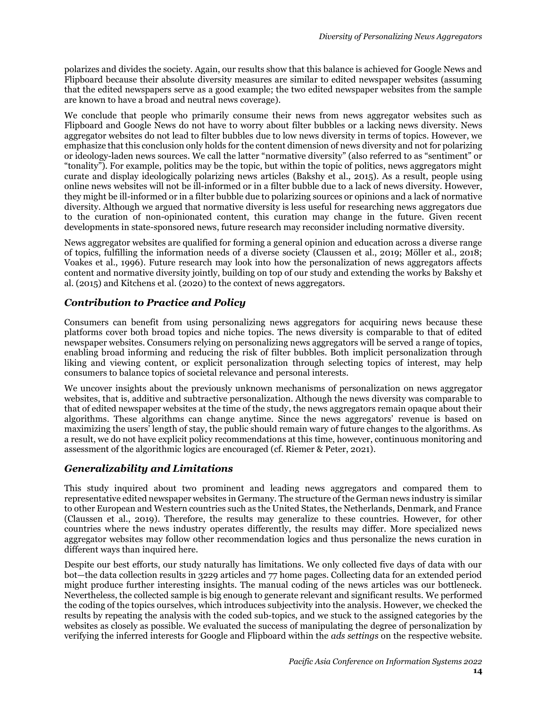polarizes and divides the society. Again, our results show that this balance is achieved for Google News and Flipboard because their absolute diversity measures are similar to edited newspaper websites (assuming that the edited newspapers serve as a good example; the two edited newspaper websites from the sample are known to have a broad and neutral news coverage).

We conclude that people who primarily consume their news from news aggregator websites such as Flipboard and Google News do not have to worry about filter bubbles or a lacking news diversity. News aggregator websites do not lead to filter bubbles due to low news diversity in terms of topics. However, we emphasize that this conclusion only holds for the content dimension of news diversity and not for polarizing or ideology-laden news sources. We call the latter "normative diversity" (also referred to as "sentiment" or "tonality"). For example, politics may be the topic, but within the topic of politics, news aggregators might curate and display ideologically polarizing news articles (Bakshy et al., 2015). As a result, people using online news websites will not be ill-informed or in a filter bubble due to a lack of news diversity. However, they might be ill-informed or in a filter bubble due to polarizing sources or opinions and a lack of normative diversity. Although we argued that normative diversity is less useful for researching news aggregators due to the curation of non-opinionated content, this curation may change in the future. Given recent developments in state-sponsored news, future research may reconsider including normative diversity.

News aggregator websites are qualified for forming a general opinion and education across a diverse range of topics, fulfilling the information needs of a diverse society (Claussen et al., 2019; Möller et al., 2018; Voakes et al., 1996). Future research may look into how the personalization of news aggregators affects content and normative diversity jointly, building on top of our study and extending the works by Bakshy et al. (2015) and Kitchens et al. (2020) to the context of news aggregators.

## *Contribution to Practice and Policy*

Consumers can benefit from using personalizing news aggregators for acquiring news because these platforms cover both broad topics and niche topics. The news diversity is comparable to that of edited newspaper websites. Consumers relying on personalizing news aggregators will be served a range of topics, enabling broad informing and reducing the risk of filter bubbles. Both implicit personalization through liking and viewing content, or explicit personalization through selecting topics of interest, may help consumers to balance topics of societal relevance and personal interests.

We uncover insights about the previously unknown mechanisms of personalization on news aggregator websites, that is, additive and subtractive personalization. Although the news diversity was comparable to that of edited newspaper websites at the time of the study, the news aggregators remain opaque about their algorithms. These algorithms can change anytime. Since the news aggregators' revenue is based on maximizing the users' length of stay, the public should remain wary of future changes to the algorithms. As a result, we do not have explicit policy recommendations at this time, however, continuous monitoring and assessment of the algorithmic logics are encouraged (cf. Riemer & Peter, 2021).

## *Generalizability and Limitations*

This study inquired about two prominent and leading news aggregators and compared them to representative edited newspaper websites in Germany. The structure of the German news industry is similar to other European and Western countries such as the United States, the Netherlands, Denmark, and France (Claussen et al., 2019). Therefore, the results may generalize to these countries. However, for other countries where the news industry operates differently, the results may differ. More specialized news aggregator websites may follow other recommendation logics and thus personalize the news curation in different ways than inquired here.

Despite our best efforts, our study naturally has limitations. We only collected five days of data with our bot—the data collection results in 3229 articles and 77 home pages. Collecting data for an extended period might produce further interesting insights. The manual coding of the news articles was our bottleneck. Nevertheless, the collected sample is big enough to generate relevant and significant results. We performed the coding of the topics ourselves, which introduces subjectivity into the analysis. However, we checked the results by repeating the analysis with the coded sub-topics, and we stuck to the assigned categories by the websites as closely as possible. We evaluated the success of manipulating the degree of personalization by verifying the inferred interests for Google and Flipboard within the *ads settings* on the respective website.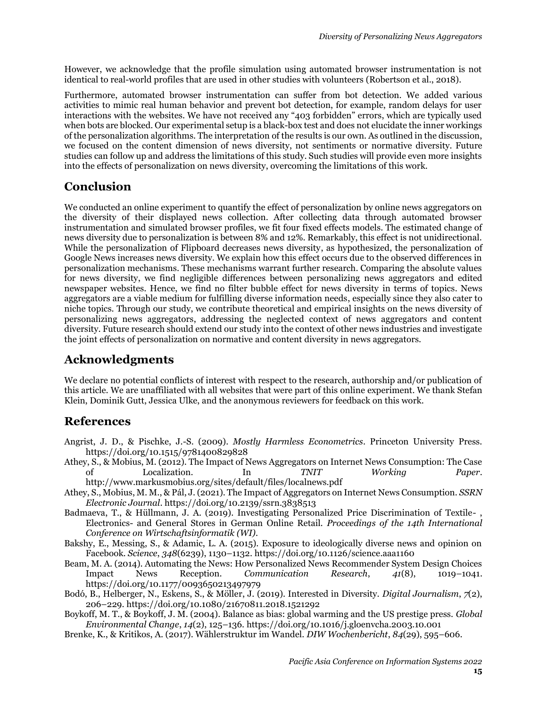However, we acknowledge that the profile simulation using automated browser instrumentation is not identical to real-world profiles that are used in other studies with volunteers (Robertson et al., 2018).

Furthermore, automated browser instrumentation can suffer from bot detection. We added various activities to mimic real human behavior and prevent bot detection, for example, random delays for user interactions with the websites. We have not received any "403 forbidden" errors, which are typically used when bots are blocked. Our experimental setup is a black-box test and does not elucidate the inner workings of the personalization algorithms. The interpretation of the results is our own. As outlined in the discussion, we focused on the content dimension of news diversity, not sentiments or normative diversity. Future studies can follow up and address the limitations of this study. Such studies will provide even more insights into the effects of personalization on news diversity, overcoming the limitations of this work.

# **Conclusion**

We conducted an online experiment to quantify the effect of personalization by online news aggregators on the diversity of their displayed news collection. After collecting data through automated browser instrumentation and simulated browser profiles, we fit four fixed effects models. The estimated change of news diversity due to personalization is between 8% and 12%. Remarkably, this effect is not unidirectional. While the personalization of Flipboard decreases news diversity, as hypothesized, the personalization of Google News increases news diversity. We explain how this effect occurs due to the observed differences in personalization mechanisms. These mechanisms warrant further research. Comparing the absolute values for news diversity, we find negligible differences between personalizing news aggregators and edited newspaper websites. Hence, we find no filter bubble effect for news diversity in terms of topics. News aggregators are a viable medium for fulfilling diverse information needs, especially since they also cater to niche topics. Through our study, we contribute theoretical and empirical insights on the news diversity of personalizing news aggregators, addressing the neglected context of news aggregators and content diversity. Future research should extend our study into the context of other news industries and investigate the joint effects of personalization on normative and content diversity in news aggregators.

# **Acknowledgments**

We declare no potential conflicts of interest with respect to the research, authorship and/or publication of this article. We are unaffiliated with all websites that were part of this online experiment. We thank Stefan Klein, Dominik Gutt, Jessica Ulke, and the anonymous reviewers for feedback on this work.

# **References**

- Angrist, J. D., & Pischke, J.-S. (2009). *Mostly Harmless Econometrics*. Princeton University Press. https://doi.org/10.1515/9781400829828
- Athey, S., & Mobius, M. (2012). The Impact of News Aggregators on Internet News Consumption: The Case of Localization. In *TNIT Working Paper*. http://www.markusmobius.org/sites/default/files/localnews.pdf
- Athey, S., Mobius, M. M., & Pál, J. (2021). The Impact of Aggregators on Internet News Consumption. *SSRN Electronic Journal*. https://doi.org/10.2139/ssrn.3838513
- Badmaeva, T., & Hüllmann, J. A. (2019). Investigating Personalized Price Discrimination of Textile- , Electronics- and General Stores in German Online Retail. *Proceedings of the 14th International Conference on Wirtschaftsinformatik (WI)*.
- Bakshy, E., Messing, S., & Adamic, L. A. (2015). Exposure to ideologically diverse news and opinion on Facebook. *Science*, *348*(6239), 1130–1132. https://doi.org/10.1126/science.aaa1160
- Beam, M. A. (2014). Automating the News: How Personalized News Recommender System Design Choices Impact News Reception. *Communication Research*, *41*(8), 1019–1041. https://doi.org/10.1177/0093650213497979
- Bodó, B., Helberger, N., Eskens, S., & Möller, J. (2019). Interested in Diversity. *Digital Journalism*, *7*(2), 206–229. https://doi.org/10.1080/21670811.2018.1521292
- Boykoff, M. T., & Boykoff, J. M. (2004). Balance as bias: global warming and the US prestige press. *Global Environmental Change*, *14*(2), 125–136. https://doi.org/10.1016/j.gloenvcha.2003.10.001
- Brenke, K., & Kritikos, A. (2017). Wählerstruktur im Wandel. *DIW Wochenbericht*, *84*(29), 595–606.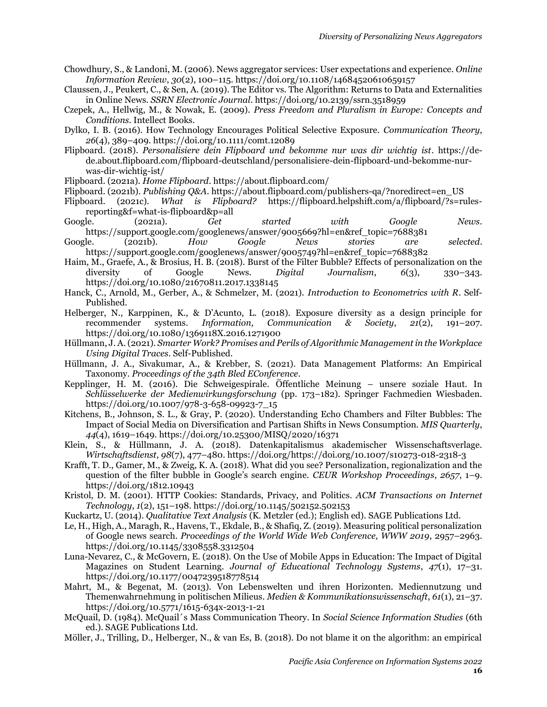- Chowdhury, S., & Landoni, M. (2006). News aggregator services: User expectations and experience. *Online Information Review*, *30*(2), 100–115. https://doi.org/10.1108/14684520610659157
- Claussen, J., Peukert, C., & Sen, A. (2019). The Editor vs. The Algorithm: Returns to Data and Externalities in Online News. *SSRN Electronic Journal*. https://doi.org/10.2139/ssrn.3518959
- Czepek, A., Hellwig, M., & Nowak, E. (2009). *Press Freedom and Pluralism in Europe: Concepts and Conditions*. Intellect Books.
- Dylko, I. B. (2016). How Technology Encourages Political Selective Exposure. *Communication Theory*, *26*(4), 389–409. https://doi.org/10.1111/comt.12089
- Flipboard. (2018). *Personalisiere dein Flipboard und bekomme nur was dir wichtig ist*. https://dede.about.flipboard.com/flipboard-deutschland/personalisiere-dein-flipboard-und-bekomme-nurwas-dir-wichtig-ist/
- Flipboard. (2021a). *Home Flipboard*. https://about.flipboard.com/
- Flipboard. (2021b). *Publishing Q&A*. https://about.flipboard.com/publishers-qa/?noredirect=en\_US
- Flipboard. (2021c). *What is Flipboard?* https://flipboard.helpshift.com/a/flipboard/?s=rulesreporting&f=what-is-flipboard&p=all
- Google. (2021a). *Get started with Google News*. https://support.google.com/googlenews/answer/9005669?hl=en&ref\_topic=7688381
- Google. (2021b). *How Google News stories are selected*. https://support.google.com/googlenews/answer/9005749?hl=en&ref\_topic=7688382
- Haim, M., Graefe, A., & Brosius, H. B. (2018). Burst of the Filter Bubble? Effects of personalization on the diversity of Google News. *Digital Journalism*, *6*(3), 330–343. https://doi.org/10.1080/21670811.2017.1338145
- Hanck, C., Arnold, M., Gerber, A., & Schmelzer, M. (2021). *Introduction to Econometrics with R*. Self-Published.
- Helberger, N., Karppinen, K., & D'Acunto, L. (2018). Exposure diversity as a design principle for recommender systems. *Information, Communication & Society*, *21*(2), 191–207. https://doi.org/10.1080/1369118X.2016.1271900
- Hüllmann, J. A. (2021). *Smarter Work? Promises and Perils of Algorithmic Management in the Workplace Using Digital Traces*. Self-Published.
- Hüllmann, J. A., Sivakumar, A., & Krebber, S. (2021). Data Management Platforms: An Empirical Taxonomy. *Proceedings of the 34th Bled EConference*.
- Kepplinger, H. M. (2016). Die Schweigespirale. Öffentliche Meinung unsere soziale Haut. In *Schlüsselwerke der Medienwirkungsforschung* (pp. 173–182). Springer Fachmedien Wiesbaden. https://doi.org/10.1007/978-3-658-09923-7\_15
- Kitchens, B., Johnson, S. L., & Gray, P. (2020). Understanding Echo Chambers and Filter Bubbles: The Impact of Social Media on Diversification and Partisan Shifts in News Consumption. *MIS Quarterly*, *44*(4), 1619–1649. https://doi.org/10.25300/MISQ/2020/16371
- Klein, S., & Hüllmann, J. A. (2018). Datenkapitalismus akademischer Wissenschaftsverlage. *Wirtschaftsdienst*, *98*(7), 477–480. https://doi.org/https://doi.org/10.1007/s10273-018-2318-3
- Krafft, T. D., Gamer, M., & Zweig, K. A. (2018). What did you see? Personalization, regionalization and the question of the filter bubble in Google's search engine. *CEUR Workshop Proceedings*, *2657*, 1–9. https://doi.org/1812.10943
- Kristol, D. M. (2001). HTTP Cookies: Standards, Privacy, and Politics. *ACM Transactions on Internet Technology*, *1*(2), 151–198. https://doi.org/10.1145/502152.502153
- Kuckartz, U. (2014). *Qualitative Text Analysis* (K. Metzler (ed.); English ed). SAGE Publications Ltd.
- Le, H., High, A., Maragh, R., Havens, T., Ekdale, B., & Shafiq, Z. (2019). Measuring political personalization of Google news search. *Proceedings of the World Wide Web Conference, WWW 2019*, 2957–2963. https://doi.org/10.1145/3308558.3312504
- Luna-Nevarez, C., & McGovern, E. (2018). On the Use of Mobile Apps in Education: The Impact of Digital Magazines on Student Learning. *Journal of Educational Technology Systems*, *47*(1), 17–31. https://doi.org/10.1177/0047239518778514
- Mahrt, M., & Begenat, M. (2013). Von Lebenswelten und ihren Horizonten. Mediennutzung und Themenwahrnehmung in politischen Milieus. *Medien & Kommunikationswissenschaft*, *61*(1), 21–37. https://doi.org/10.5771/1615-634x-2013-1-21
- McQuail, D. (1984). McQuail´s Mass Communication Theory. In *Social Science Information Studies* (6th ed.). SAGE Publications Ltd.
- Möller, J., Trilling, D., Helberger, N., & van Es, B. (2018). Do not blame it on the algorithm: an empirical